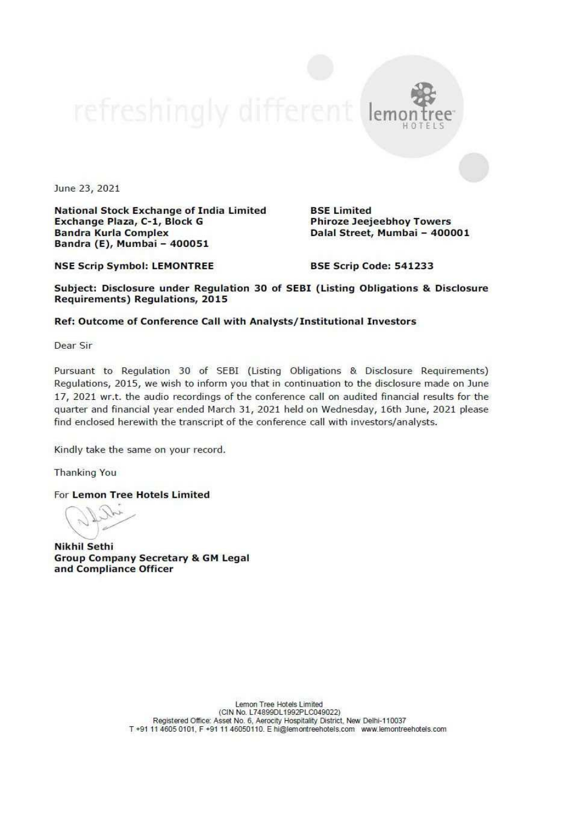

June 23, 2021

National Stock Exchange of India Limited<br>Exchange Plaza, C-1, Block G<br>Bandra Kurla Complex<br>Bandra (E), Mumbai - 400051

NSE Scrip Symbol: LEMONTREE

Phiroze Jeejeebhoy Towers Dalal Street, Mumbai - 400001

BSE Scrip Code: 541233

BSE Limited

Subject: Disclosure under Regulation 30 of SEBI (Listing Obligations & Disclosure<br>Requirements) Regulations, 2015

## Ref: Outcome of Conference Call with Analysts/ Institutional Investors

Dear Sir

Pursuant to Regulation 30 of SEBI (Listing Obligations & Disclosure Requirements) Regulations, 2015, we wish to inform you that in continuation to the disclosure made on June 17, 2021 wr.t. the audio recordings of the conference call on audited financial results for the quarter and financial year ended March  $31$ , 2021 held on Wednesday, 16th June, 2021 please find enclosed herewith the transc

Kindly take the same on your record.

Thanking You

For Lemon Tree Hotels Limited

Nikhil Sethi<br>Group Company Secretary & GM Legal<br>and Compliance Officer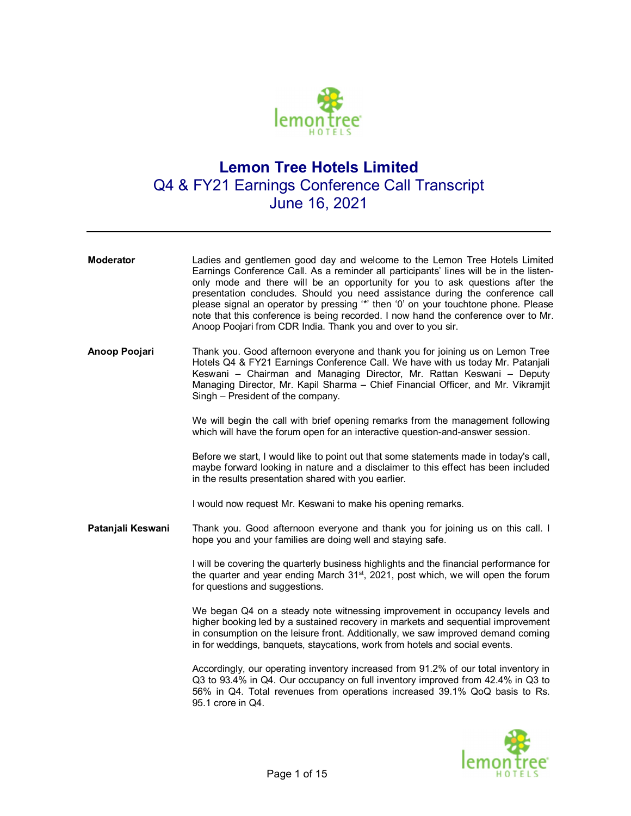

## **Lemon Tree Hotels Limited**  Q4 & FY21 Earnings Conference Call Transcript June 16, 2021

| <b>Moderator</b>  | Ladies and gentlemen good day and welcome to the Lemon Tree Hotels Limited<br>Earnings Conference Call. As a reminder all participants' lines will be in the listen-<br>only mode and there will be an opportunity for you to ask questions after the<br>presentation concludes. Should you need assistance during the conference call<br>please signal an operator by pressing "*' then '0' on your touchtone phone. Please<br>note that this conference is being recorded. I now hand the conference over to Mr.<br>Anoop Poojari from CDR India. Thank you and over to you sir. |
|-------------------|------------------------------------------------------------------------------------------------------------------------------------------------------------------------------------------------------------------------------------------------------------------------------------------------------------------------------------------------------------------------------------------------------------------------------------------------------------------------------------------------------------------------------------------------------------------------------------|
| Anoop Poojari     | Thank you. Good afternoon everyone and thank you for joining us on Lemon Tree<br>Hotels Q4 & FY21 Earnings Conference Call. We have with us today Mr. Patanjali<br>Keswani - Chairman and Managing Director, Mr. Rattan Keswani - Deputy<br>Managing Director, Mr. Kapil Sharma - Chief Financial Officer, and Mr. Vikramjit<br>Singh - President of the company.                                                                                                                                                                                                                  |
|                   | We will begin the call with brief opening remarks from the management following<br>which will have the forum open for an interactive question-and-answer session.                                                                                                                                                                                                                                                                                                                                                                                                                  |
|                   | Before we start, I would like to point out that some statements made in today's call,<br>maybe forward looking in nature and a disclaimer to this effect has been included<br>in the results presentation shared with you earlier.                                                                                                                                                                                                                                                                                                                                                 |
|                   | I would now request Mr. Keswani to make his opening remarks.                                                                                                                                                                                                                                                                                                                                                                                                                                                                                                                       |
| Patanjali Keswani | Thank you. Good afternoon everyone and thank you for joining us on this call. I<br>hope you and your families are doing well and staying safe.                                                                                                                                                                                                                                                                                                                                                                                                                                     |
|                   | I will be covering the quarterly business highlights and the financial performance for<br>the quarter and year ending March 31 <sup>st</sup> , 2021, post which, we will open the forum<br>for questions and suggestions.                                                                                                                                                                                                                                                                                                                                                          |
|                   | We began Q4 on a steady note witnessing improvement in occupancy levels and<br>higher booking led by a sustained recovery in markets and sequential improvement<br>in consumption on the leisure front. Additionally, we saw improved demand coming<br>in for weddings, banquets, staycations, work from hotels and social events.                                                                                                                                                                                                                                                 |
|                   | Accordingly, our operating inventory increased from 91.2% of our total inventory in<br>Q3 to 93.4% in Q4. Our occupancy on full inventory improved from 42.4% in Q3 to<br>56% in Q4. Total revenues from operations increased 39.1% QoQ basis to Rs.<br>95.1 crore in Q4.                                                                                                                                                                                                                                                                                                          |
|                   |                                                                                                                                                                                                                                                                                                                                                                                                                                                                                                                                                                                    |

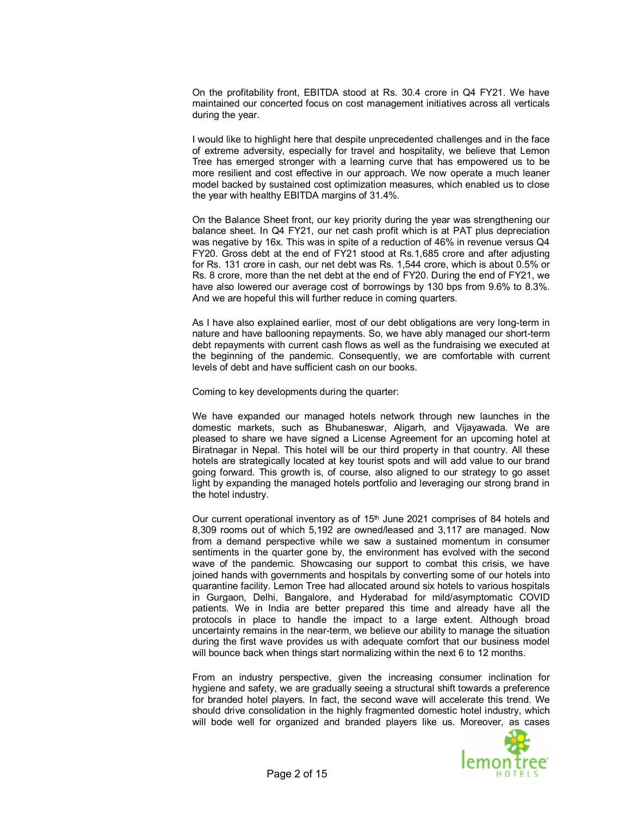On the profitability front, EBITDA stood at Rs. 30.4 crore in Q4 FY21. We have maintained our concerted focus on cost management initiatives across all verticals during the year.

I would like to highlight here that despite unprecedented challenges and in the face of extreme adversity, especially for travel and hospitality, we believe that Lemon Tree has emerged stronger with a learning curve that has empowered us to be more resilient and cost effective in our approach. We now operate a much leaner model backed by sustained cost optimization measures, which enabled us to close the year with healthy EBITDA margins of 31.4%.

On the Balance Sheet front, our key priority during the year was strengthening our balance sheet. In Q4 FY21, our net cash profit which is at PAT plus depreciation was negative by 16x. This was in spite of a reduction of 46% in revenue versus Q4 FY20. Gross debt at the end of FY21 stood at Rs.1,685 crore and after adjusting for Rs. 131 crore in cash, our net debt was Rs. 1,544 crore, which is about 0.5% or Rs. 8 crore, more than the net debt at the end of FY20. During the end of FY21, we have also lowered our average cost of borrowings by 130 bps from 9.6% to 8.3%. And we are hopeful this will further reduce in coming quarters.

As I have also explained earlier, most of our debt obligations are very long-term in nature and have ballooning repayments. So, we have ably managed our short-term debt repayments with current cash flows as well as the fundraising we executed at the beginning of the pandemic. Consequently, we are comfortable with current levels of debt and have sufficient cash on our books.

Coming to key developments during the quarter:

We have expanded our managed hotels network through new launches in the domestic markets, such as Bhubaneswar, Aligarh, and Vijayawada. We are pleased to share we have signed a License Agreement for an upcoming hotel at Biratnagar in Nepal. This hotel will be our third property in that country. All these hotels are strategically located at key tourist spots and will add value to our brand going forward. This growth is, of course, also aligned to our strategy to go asset light by expanding the managed hotels portfolio and leveraging our strong brand in the hotel industry.

Our current operational inventory as of  $15<sup>th</sup>$  June 2021 comprises of 84 hotels and 8,309 rooms out of which 5,192 are owned/leased and 3,117 are managed. Now from a demand perspective while we saw a sustained momentum in consumer sentiments in the quarter gone by, the environment has evolved with the second wave of the pandemic. Showcasing our support to combat this crisis, we have joined hands with governments and hospitals by converting some of our hotels into quarantine facility. Lemon Tree had allocated around six hotels to various hospitals in Gurgaon, Delhi, Bangalore, and Hyderabad for mild/asymptomatic COVID patients. We in India are better prepared this time and already have all the protocols in place to handle the impact to a large extent. Although broad uncertainty remains in the near-term, we believe our ability to manage the situation during the first wave provides us with adequate comfort that our business model will bounce back when things start normalizing within the next 6 to 12 months.

From an industry perspective, given the increasing consumer inclination for hygiene and safety, we are gradually seeing a structural shift towards a preference for branded hotel players. In fact, the second wave will accelerate this trend. We should drive consolidation in the highly fragmented domestic hotel industry, which will bode well for organized and branded players like us. Moreover, as cases

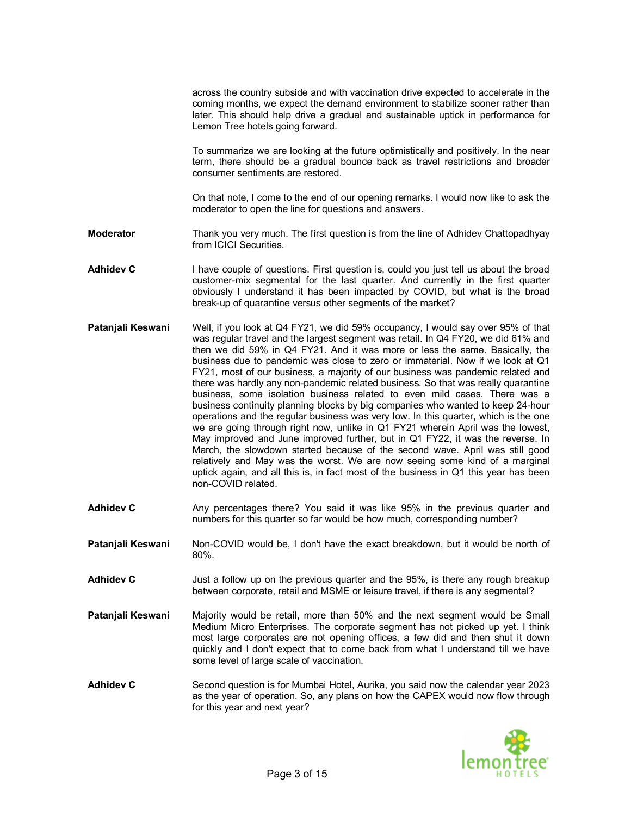|                   | across the country subside and with vaccination drive expected to accelerate in the<br>coming months, we expect the demand environment to stabilize sooner rather than<br>later. This should help drive a gradual and sustainable uptick in performance for<br>Lemon Tree hotels going forward.                                                                                                                                                                                                                                                                                                                                                                                                                                                                                                                                                                                                                                                                                                                                                                                                            |
|-------------------|------------------------------------------------------------------------------------------------------------------------------------------------------------------------------------------------------------------------------------------------------------------------------------------------------------------------------------------------------------------------------------------------------------------------------------------------------------------------------------------------------------------------------------------------------------------------------------------------------------------------------------------------------------------------------------------------------------------------------------------------------------------------------------------------------------------------------------------------------------------------------------------------------------------------------------------------------------------------------------------------------------------------------------------------------------------------------------------------------------|
|                   | To summarize we are looking at the future optimistically and positively. In the near<br>term, there should be a gradual bounce back as travel restrictions and broader<br>consumer sentiments are restored.                                                                                                                                                                                                                                                                                                                                                                                                                                                                                                                                                                                                                                                                                                                                                                                                                                                                                                |
|                   | On that note, I come to the end of our opening remarks. I would now like to ask the<br>moderator to open the line for questions and answers.                                                                                                                                                                                                                                                                                                                                                                                                                                                                                                                                                                                                                                                                                                                                                                                                                                                                                                                                                               |
| <b>Moderator</b>  | Thank you very much. The first question is from the line of Adhidev Chattopadhyay<br>from ICICI Securities.                                                                                                                                                                                                                                                                                                                                                                                                                                                                                                                                                                                                                                                                                                                                                                                                                                                                                                                                                                                                |
| <b>Adhidev C</b>  | I have couple of questions. First question is, could you just tell us about the broad<br>customer-mix segmental for the last quarter. And currently in the first quarter<br>obviously I understand it has been impacted by COVID, but what is the broad<br>break-up of quarantine versus other segments of the market?                                                                                                                                                                                                                                                                                                                                                                                                                                                                                                                                                                                                                                                                                                                                                                                     |
| Patanjali Keswani | Well, if you look at Q4 FY21, we did 59% occupancy, I would say over 95% of that<br>was regular travel and the largest segment was retail. In Q4 FY20, we did 61% and<br>then we did 59% in Q4 FY21. And it was more or less the same. Basically, the<br>business due to pandemic was close to zero or immaterial. Now if we look at Q1<br>FY21, most of our business, a majority of our business was pandemic related and<br>there was hardly any non-pandemic related business. So that was really quarantine<br>business, some isolation business related to even mild cases. There was a<br>business continuity planning blocks by big companies who wanted to keep 24-hour<br>operations and the regular business was very low. In this quarter, which is the one<br>we are going through right now, unlike in Q1 FY21 wherein April was the lowest,<br>May improved and June improved further, but in Q1 FY22, it was the reverse. In<br>March, the slowdown started because of the second wave. April was still good<br>relatively and May was the worst. We are now seeing some kind of a marginal |

**Adhidev C** Any percentages there? You said it was like 95% in the previous quarter and numbers for this quarter so far would be how much, corresponding number?

non-COVID related.

uptick again, and all this is, in fact most of the business in Q1 this year has been

- **Patanjali Keswani** Non-COVID would be, I don't have the exact breakdown, but it would be north of 80%.
- **Adhidev C** Just a follow up on the previous quarter and the 95%, is there any rough breakup between corporate, retail and MSME or leisure travel, if there is any segmental?
- Patanjali Keswani Majority would be retail, more than 50% and the next segment would be Small Medium Micro Enterprises. The corporate segment has not picked up yet. I think most large corporates are not opening offices, a few did and then shut it down quickly and I don't expect that to come back from what I understand till we have some level of large scale of vaccination.
- **Adhidev C** Second question is for Mumbai Hotel, Aurika, you said now the calendar year 2023 as the year of operation. So, any plans on how the CAPEX would now flow through for this year and next year?

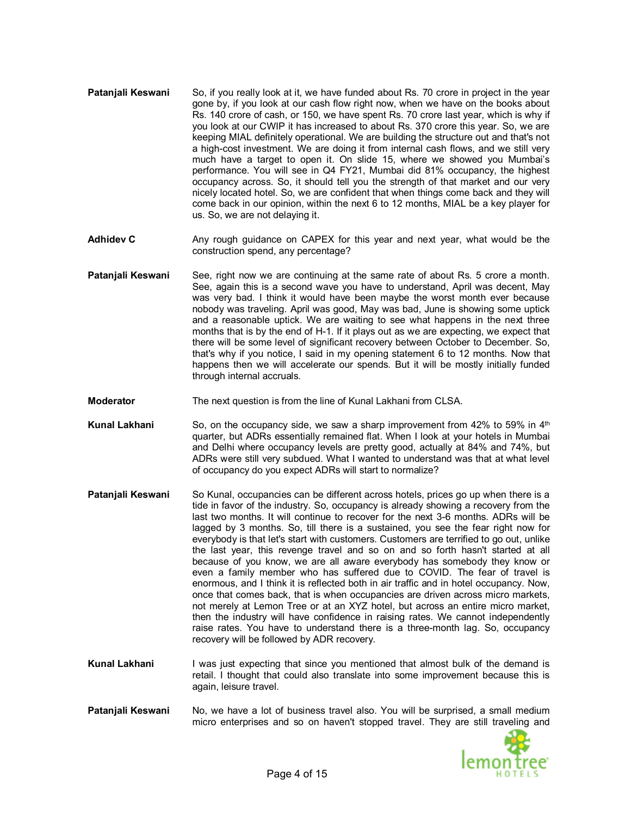- **Pataniali Keswani** So, if you really look at it, we have funded about Rs, 70 crore in project in the year gone by, if you look at our cash flow right now, when we have on the books about Rs. 140 crore of cash, or 150, we have spent Rs. 70 crore last year, which is why if you look at our CWIP it has increased to about Rs. 370 crore this year. So, we are keeping MIAL definitely operational. We are building the structure out and that's not a high-cost investment. We are doing it from internal cash flows, and we still very much have a target to open it. On slide 15, where we showed you Mumbai's performance. You will see in Q4 FY21, Mumbai did 81% occupancy, the highest occupancy across. So, it should tell you the strength of that market and our very nicely located hotel. So, we are confident that when things come back and they will come back in our opinion, within the next 6 to 12 months, MIAL be a key player for us. So, we are not delaying it.
- **Adhidev C** Any rough guidance on CAPEX for this year and next year, what would be the construction spend, any percentage?
- **Patanjali Keswani** See, right now we are continuing at the same rate of about Rs. 5 crore a month. See, again this is a second wave you have to understand, April was decent, May was very bad. I think it would have been maybe the worst month ever because nobody was traveling. April was good, May was bad, June is showing some uptick and a reasonable uptick. We are waiting to see what happens in the next three months that is by the end of H-1. If it plays out as we are expecting, we expect that there will be some level of significant recovery between October to December. So, that's why if you notice, I said in my opening statement 6 to 12 months. Now that happens then we will accelerate our spends. But it will be mostly initially funded through internal accruals.
- **Moderator** The next question is from the line of Kunal Lakhani from CLSA.
- **Kunal Lakhani** So, on the occupancy side, we saw a sharp improvement from 42% to 59% in 4<sup>th</sup> quarter, but ADRs essentially remained flat. When I look at your hotels in Mumbai and Delhi where occupancy levels are pretty good, actually at 84% and 74%, but ADRs were still very subdued. What I wanted to understand was that at what level of occupancy do you expect ADRs will start to normalize?
- **Patanjali Keswani** So Kunal, occupancies can be different across hotels, prices go up when there is a tide in favor of the industry. So, occupancy is already showing a recovery from the last two months. It will continue to recover for the next 3-6 months. ADRs will be lagged by 3 months. So, till there is a sustained, you see the fear right now for everybody is that let's start with customers. Customers are terrified to go out, unlike the last year, this revenge travel and so on and so forth hasn't started at all because of you know, we are all aware everybody has somebody they know or even a family member who has suffered due to COVID. The fear of travel is enormous, and I think it is reflected both in air traffic and in hotel occupancy. Now, once that comes back, that is when occupancies are driven across micro markets, not merely at Lemon Tree or at an XYZ hotel, but across an entire micro market, then the industry will have confidence in raising rates. We cannot independently raise rates. You have to understand there is a three-month lag. So, occupancy recovery will be followed by ADR recovery.
- **Kunal Lakhani** I was just expecting that since you mentioned that almost bulk of the demand is retail. I thought that could also translate into some improvement because this is again, leisure travel.
- **Patanjali Keswani** No, we have a lot of business travel also. You will be surprised, a small medium micro enterprises and so on haven't stopped travel. They are still traveling and

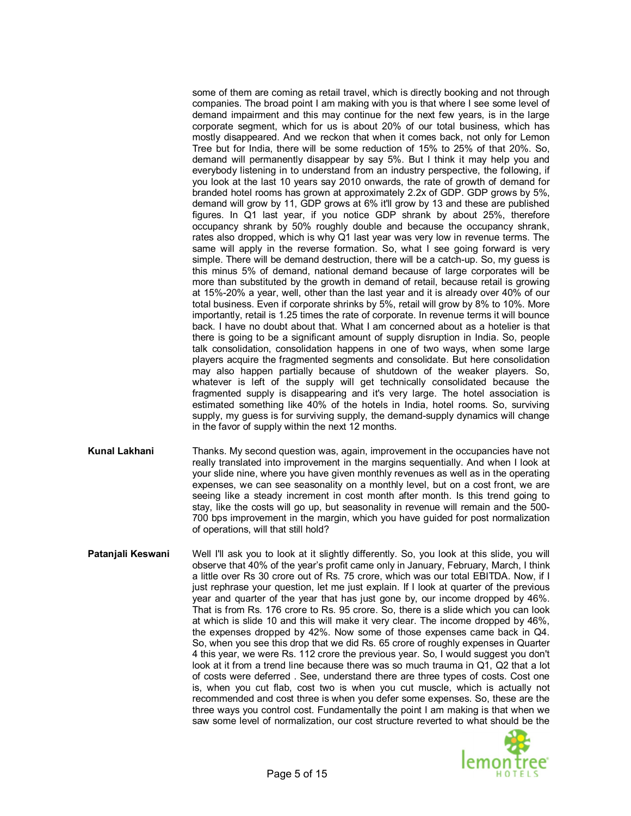some of them are coming as retail travel, which is directly booking and not through companies. The broad point I am making with you is that where I see some level of demand impairment and this may continue for the next few years, is in the large corporate segment, which for us is about 20% of our total business, which has mostly disappeared. And we reckon that when it comes back, not only for Lemon Tree but for India, there will be some reduction of 15% to 25% of that 20%. So, demand will permanently disappear by say 5%. But I think it may help you and everybody listening in to understand from an industry perspective, the following, if you look at the last 10 years say 2010 onwards, the rate of growth of demand for branded hotel rooms has grown at approximately 2.2x of GDP. GDP grows by 5%, demand will grow by 11, GDP grows at 6% it'll grow by 13 and these are published figures. In Q1 last year, if you notice GDP shrank by about 25%, therefore occupancy shrank by 50% roughly double and because the occupancy shrank, rates also dropped, which is why Q1 last year was very low in revenue terms. The same will apply in the reverse formation. So, what I see going forward is very simple. There will be demand destruction, there will be a catch-up. So, my guess is this minus 5% of demand, national demand because of large corporates will be more than substituted by the growth in demand of retail, because retail is growing at 15%-20% a year, well, other than the last year and it is already over 40% of our total business. Even if corporate shrinks by 5%, retail will grow by 8% to 10%. More importantly, retail is 1.25 times the rate of corporate. In revenue terms it will bounce back. I have no doubt about that. What I am concerned about as a hotelier is that there is going to be a significant amount of supply disruption in India. So, people talk consolidation, consolidation happens in one of two ways, when some large players acquire the fragmented segments and consolidate. But here consolidation may also happen partially because of shutdown of the weaker players. So, whatever is left of the supply will get technically consolidated because the fragmented supply is disappearing and it's very large. The hotel association is estimated something like 40% of the hotels in India, hotel rooms. So, surviving supply, my guess is for surviving supply, the demand-supply dynamics will change in the favor of supply within the next 12 months.

- **Kunal Lakhani** Thanks. My second question was, again, improvement in the occupancies have not really translated into improvement in the margins sequentially. And when I look at your slide nine, where you have given monthly revenues as well as in the operating expenses, we can see seasonality on a monthly level, but on a cost front, we are seeing like a steady increment in cost month after month. Is this trend going to stay, like the costs will go up, but seasonality in revenue will remain and the 500- 700 bps improvement in the margin, which you have guided for post normalization of operations, will that still hold?
- **Patanjali Keswani** Well I'll ask you to look at it slightly differently. So, you look at this slide, you will observe that 40% of the year's profit came only in January, February, March, I think a little over Rs 30 crore out of Rs. 75 crore, which was our total EBITDA. Now, if I just rephrase your question, let me just explain. If I look at quarter of the previous year and quarter of the year that has just gone by, our income dropped by 46%. That is from Rs. 176 crore to Rs. 95 crore. So, there is a slide which you can look at which is slide 10 and this will make it very clear. The income dropped by 46%, the expenses dropped by 42%. Now some of those expenses came back in Q4. So, when you see this drop that we did Rs. 65 crore of roughly expenses in Quarter 4 this year, we were Rs. 112 crore the previous year. So, I would suggest you don't look at it from a trend line because there was so much trauma in Q1, Q2 that a lot of costs were deferred . See, understand there are three types of costs. Cost one is, when you cut flab, cost two is when you cut muscle, which is actually not recommended and cost three is when you defer some expenses. So, these are the three ways you control cost. Fundamentally the point I am making is that when we saw some level of normalization, our cost structure reverted to what should be the

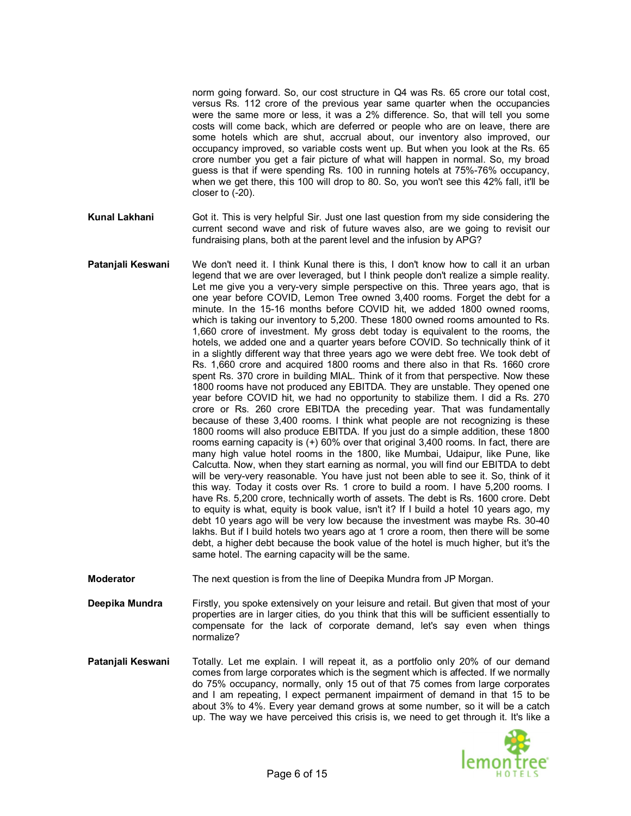norm going forward. So, our cost structure in Q4 was Rs. 65 crore our total cost, versus Rs. 112 crore of the previous year same quarter when the occupancies were the same more or less, it was a 2% difference. So, that will tell you some costs will come back, which are deferred or people who are on leave, there are some hotels which are shut, accrual about, our inventory also improved, our occupancy improved, so variable costs went up. But when you look at the Rs. 65 crore number you get a fair picture of what will happen in normal. So, my broad guess is that if were spending Rs. 100 in running hotels at 75%-76% occupancy, when we get there, this 100 will drop to 80. So, you won't see this 42% fall, it'll be closer to (-20).

- **Kunal Lakhani** Got it. This is very helpful Sir. Just one last question from my side considering the current second wave and risk of future waves also, are we going to revisit our fundraising plans, both at the parent level and the infusion by APG?
- **Patanjali Keswani** We don't need it. I think Kunal there is this, I don't know how to call it an urban legend that we are over leveraged, but I think people don't realize a simple reality. Let me give you a very-very simple perspective on this. Three years ago, that is one year before COVID, Lemon Tree owned 3,400 rooms. Forget the debt for a minute. In the 15-16 months before COVID hit, we added 1800 owned rooms, which is taking our inventory to 5,200. These 1800 owned rooms amounted to Rs. 1,660 crore of investment. My gross debt today is equivalent to the rooms, the hotels, we added one and a quarter years before COVID. So technically think of it in a slightly different way that three years ago we were debt free. We took debt of Rs. 1,660 crore and acquired 1800 rooms and there also in that Rs. 1660 crore spent Rs. 370 crore in building MIAL. Think of it from that perspective. Now these 1800 rooms have not produced any EBITDA. They are unstable. They opened one year before COVID hit, we had no opportunity to stabilize them. I did a Rs. 270 crore or Rs. 260 crore EBITDA the preceding year. That was fundamentally because of these 3,400 rooms. I think what people are not recognizing is these 1800 rooms will also produce EBITDA. If you just do a simple addition, these 1800 rooms earning capacity is (+) 60% over that original 3,400 rooms. In fact, there are many high value hotel rooms in the 1800, like Mumbai, Udaipur, like Pune, like Calcutta. Now, when they start earning as normal, you will find our EBITDA to debt will be very-very reasonable. You have just not been able to see it. So, think of it this way. Today it costs over Rs. 1 crore to build a room. I have 5,200 rooms. I have Rs. 5,200 crore, technically worth of assets. The debt is Rs. 1600 crore. Debt to equity is what, equity is book value, isn't it? If I build a hotel 10 years ago, my debt 10 years ago will be very low because the investment was maybe Rs. 30-40 lakhs. But if I build hotels two years ago at 1 crore a room, then there will be some debt, a higher debt because the book value of the hotel is much higher, but it's the same hotel. The earning capacity will be the same.

**Moderator** The next question is from the line of Deepika Mundra from JP Morgan.

- **Deepika Mundra** Firstly, you spoke extensively on your leisure and retail. But given that most of your properties are in larger cities, do you think that this will be sufficient essentially to compensate for the lack of corporate demand, let's say even when things normalize?
- **Patanjali Keswani** Totally. Let me explain. I will repeat it, as a portfolio only 20% of our demand comes from large corporates which is the segment which is affected. If we normally do 75% occupancy, normally, only 15 out of that 75 comes from large corporates and I am repeating, I expect permanent impairment of demand in that 15 to be about 3% to 4%. Every year demand grows at some number, so it will be a catch up. The way we have perceived this crisis is, we need to get through it. It's like a

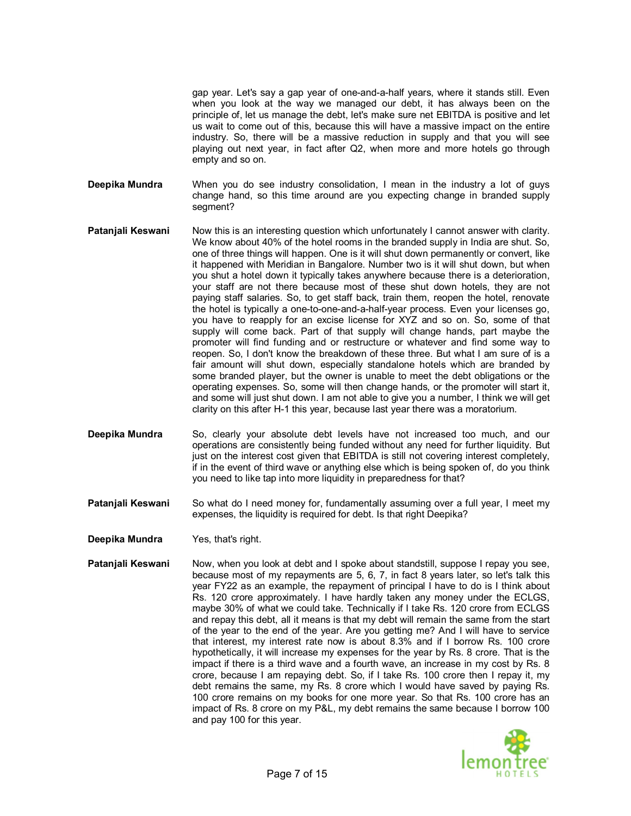gap year. Let's say a gap year of one-and-a-half years, where it stands still. Even when you look at the way we managed our debt, it has always been on the principle of, let us manage the debt, let's make sure net EBITDA is positive and let us wait to come out of this, because this will have a massive impact on the entire industry. So, there will be a massive reduction in supply and that you will see playing out next year, in fact after Q2, when more and more hotels go through empty and so on.

**Deepika Mundra** When you do see industry consolidation, I mean in the industry a lot of guys change hand, so this time around are you expecting change in branded supply segment?

- **Patanjali Keswani** Now this is an interesting question which unfortunately I cannot answer with clarity. We know about 40% of the hotel rooms in the branded supply in India are shut. So, one of three things will happen. One is it will shut down permanently or convert, like it happened with Meridian in Bangalore. Number two is it will shut down, but when you shut a hotel down it typically takes anywhere because there is a deterioration, your staff are not there because most of these shut down hotels, they are not paying staff salaries. So, to get staff back, train them, reopen the hotel, renovate the hotel is typically a one-to-one-and-a-half-year process. Even your licenses go, you have to reapply for an excise license for XYZ and so on. So, some of that supply will come back. Part of that supply will change hands, part maybe the promoter will find funding and or restructure or whatever and find some way to reopen. So, I don't know the breakdown of these three. But what I am sure of is a fair amount will shut down, especially standalone hotels which are branded by some branded player, but the owner is unable to meet the debt obligations or the operating expenses. So, some will then change hands, or the promoter will start it, and some will just shut down. I am not able to give you a number, I think we will get clarity on this after H-1 this year, because last year there was a moratorium.
- **Deepika Mundra** So, clearly your absolute debt levels have not increased too much, and our operations are consistently being funded without any need for further liquidity. But just on the interest cost given that EBITDA is still not covering interest completely, if in the event of third wave or anything else which is being spoken of, do you think you need to like tap into more liquidity in preparedness for that?
- **Patanjali Keswani** So what do I need money for, fundamentally assuming over a full year, I meet my expenses, the liquidity is required for debt. Is that right Deepika?
- **Deepika Mundra** Yes, that's right.
- **Patanjali Keswani** Now, when you look at debt and I spoke about standstill, suppose I repay you see, because most of my repayments are 5, 6, 7, in fact 8 years later, so let's talk this year FY22 as an example, the repayment of principal I have to do is I think about Rs. 120 crore approximately. I have hardly taken any money under the ECLGS, maybe 30% of what we could take. Technically if I take Rs. 120 crore from ECLGS and repay this debt, all it means is that my debt will remain the same from the start of the year to the end of the year. Are you getting me? And I will have to service that interest, my interest rate now is about 8.3% and if I borrow Rs. 100 crore hypothetically, it will increase my expenses for the year by Rs. 8 crore. That is the impact if there is a third wave and a fourth wave, an increase in my cost by Rs. 8 crore, because I am repaying debt. So, if I take Rs. 100 crore then I repay it, my debt remains the same, my Rs. 8 crore which I would have saved by paying Rs. 100 crore remains on my books for one more year. So that Rs. 100 crore has an impact of Rs. 8 crore on my P&L, my debt remains the same because I borrow 100 and pay 100 for this year.

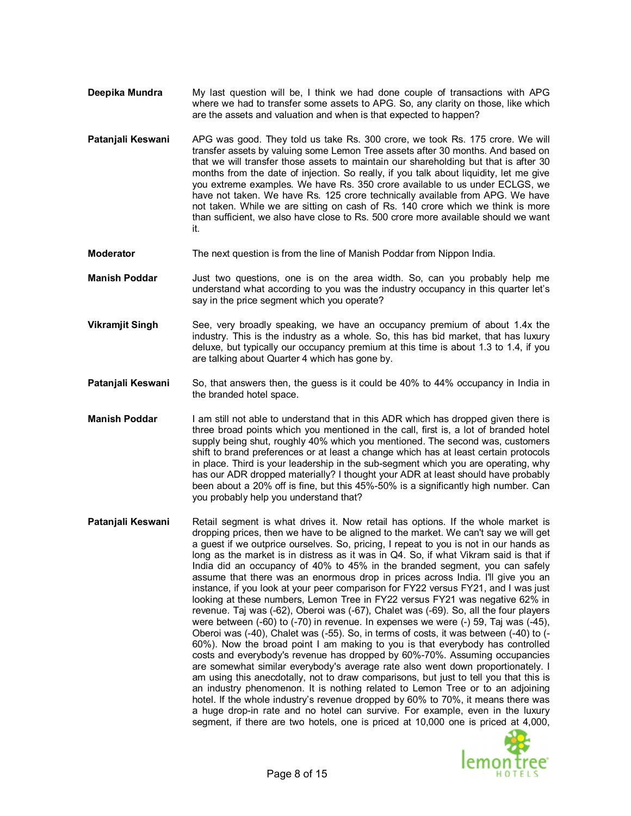- **Deepika Mundra** My last question will be, I think we had done couple of transactions with APG where we had to transfer some assets to APG. So, any clarity on those, like which are the assets and valuation and when is that expected to happen?
- **Patanjali Keswani** APG was good. They told us take Rs. 300 crore, we took Rs. 175 crore. We will transfer assets by valuing some Lemon Tree assets after 30 months. And based on that we will transfer those assets to maintain our shareholding but that is after 30 months from the date of injection. So really, if you talk about liquidity, let me give you extreme examples. We have Rs. 350 crore available to us under ECLGS, we have not taken. We have Rs. 125 crore technically available from APG. We have not taken. While we are sitting on cash of Rs. 140 crore which we think is more than sufficient, we also have close to Rs. 500 crore more available should we want it.
- **Moderator** The next question is from the line of Manish Poddar from Nippon India.
- **Manish Poddar** Just two questions, one is on the area width. So, can you probably help me understand what according to you was the industry occupancy in this quarter let's say in the price segment which you operate?
- **Vikramjit Singh** See, very broadly speaking, we have an occupancy premium of about 1.4x the industry. This is the industry as a whole. So, this has bid market, that has luxury deluxe, but typically our occupancy premium at this time is about 1.3 to 1.4, if you are talking about Quarter 4 which has gone by.
- **Patanjali Keswani** So, that answers then, the guess is it could be 40% to 44% occupancy in India in the branded hotel space.
- **Manish Poddar** I am still not able to understand that in this ADR which has dropped given there is three broad points which you mentioned in the call, first is, a lot of branded hotel supply being shut, roughly 40% which you mentioned. The second was, customers shift to brand preferences or at least a change which has at least certain protocols in place. Third is your leadership in the sub-segment which you are operating, why has our ADR dropped materially? I thought your ADR at least should have probably been about a 20% off is fine, but this 45%-50% is a significantly high number. Can you probably help you understand that?
- **Patanjali Keswani** Retail segment is what drives it. Now retail has options. If the whole market is dropping prices, then we have to be aligned to the market. We can't say we will get a guest if we outprice ourselves. So, pricing, I repeat to you is not in our hands as long as the market is in distress as it was in Q4. So, if what Vikram said is that if India did an occupancy of 40% to 45% in the branded segment, you can safely assume that there was an enormous drop in prices across India. I'll give you an instance, if you look at your peer comparison for FY22 versus FY21, and I was just looking at these numbers, Lemon Tree in FY22 versus FY21 was negative 62% in revenue. Taj was (-62), Oberoi was (-67), Chalet was (-69). So, all the four players were between (-60) to (-70) in revenue. In expenses we were (-) 59, Taj was (-45), Oberoi was (-40), Chalet was (-55). So, in terms of costs, it was between (-40) to (- 60%). Now the broad point I am making to you is that everybody has controlled costs and everybody's revenue has dropped by 60%-70%. Assuming occupancies are somewhat similar everybody's average rate also went down proportionately. I am using this anecdotally, not to draw comparisons, but just to tell you that this is an industry phenomenon. It is nothing related to Lemon Tree or to an adjoining hotel. If the whole industry's revenue dropped by 60% to 70%, it means there was a huge drop-in rate and no hotel can survive. For example, even in the luxury segment, if there are two hotels, one is priced at 10,000 one is priced at 4,000,

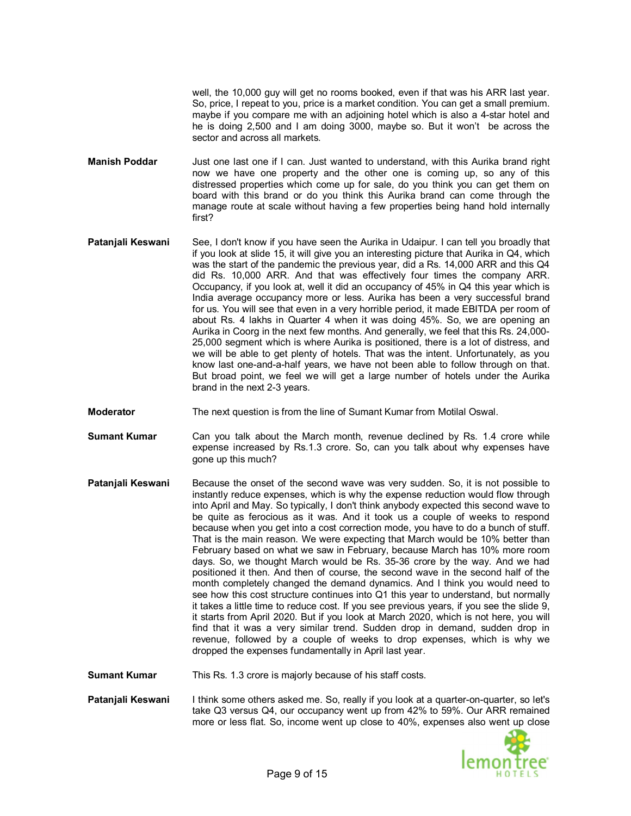well, the 10,000 guy will get no rooms booked, even if that was his ARR last year. So, price, I repeat to you, price is a market condition. You can get a small premium. maybe if you compare me with an adjoining hotel which is also a 4-star hotel and he is doing 2,500 and I am doing 3000, maybe so. But it won't be across the sector and across all markets.

- **Manish Poddar** Just one last one if I can. Just wanted to understand, with this Aurika brand right now we have one property and the other one is coming up, so any of this distressed properties which come up for sale, do you think you can get them on board with this brand or do you think this Aurika brand can come through the manage route at scale without having a few properties being hand hold internally first?
- **Patanjali Keswani** See, I don't know if you have seen the Aurika in Udaipur. I can tell you broadly that if you look at slide 15, it will give you an interesting picture that Aurika in Q4, which was the start of the pandemic the previous year, did a Rs. 14,000 ARR and this Q4 did Rs. 10,000 ARR. And that was effectively four times the company ARR. Occupancy, if you look at, well it did an occupancy of 45% in Q4 this year which is India average occupancy more or less. Aurika has been a very successful brand for us. You will see that even in a very horrible period, it made EBITDA per room of about Rs. 4 lakhs in Quarter 4 when it was doing 45%. So, we are opening an Aurika in Coorg in the next few months. And generally, we feel that this Rs. 24,000- 25,000 segment which is where Aurika is positioned, there is a lot of distress, and we will be able to get plenty of hotels. That was the intent. Unfortunately, as you know last one-and-a-half years, we have not been able to follow through on that. But broad point, we feel we will get a large number of hotels under the Aurika brand in the next 2-3 years.
- **Moderator** The next question is from the line of Sumant Kumar from Motilal Oswal.
- **Sumant Kumar** Can you talk about the March month, revenue declined by Rs. 1.4 crore while expense increased by Rs.1.3 crore. So, can you talk about why expenses have gone up this much?
- **Patanjali Keswani** Because the onset of the second wave was very sudden. So, it is not possible to instantly reduce expenses, which is why the expense reduction would flow through into April and May. So typically, I don't think anybody expected this second wave to be quite as ferocious as it was. And it took us a couple of weeks to respond because when you get into a cost correction mode, you have to do a bunch of stuff. That is the main reason. We were expecting that March would be 10% better than February based on what we saw in February, because March has 10% more room days. So, we thought March would be Rs. 35-36 crore by the way. And we had positioned it then. And then of course, the second wave in the second half of the month completely changed the demand dynamics. And I think you would need to see how this cost structure continues into Q1 this year to understand, but normally it takes a little time to reduce cost. If you see previous years, if you see the slide 9, it starts from April 2020. But if you look at March 2020, which is not here, you will find that it was a very similar trend. Sudden drop in demand, sudden drop in revenue, followed by a couple of weeks to drop expenses, which is why we dropped the expenses fundamentally in April last year.

**Sumant Kumar** This Rs. 1.3 crore is majorly because of his staff costs.

**Patanjali Keswani** I think some others asked me. So, really if you look at a quarter-on-quarter, so let's take Q3 versus Q4, our occupancy went up from 42% to 59%. Our ARR remained more or less flat. So, income went up close to 40%, expenses also went up close

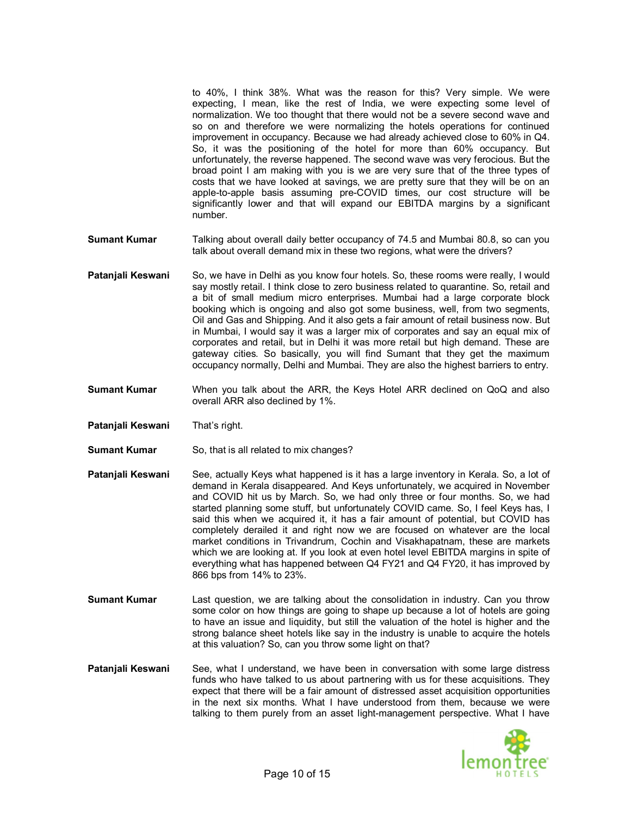to 40%, I think 38%. What was the reason for this? Very simple. We were expecting, I mean, like the rest of India, we were expecting some level of normalization. We too thought that there would not be a severe second wave and so on and therefore we were normalizing the hotels operations for continued improvement in occupancy. Because we had already achieved close to 60% in Q4. So, it was the positioning of the hotel for more than 60% occupancy. But unfortunately, the reverse happened. The second wave was very ferocious. But the broad point I am making with you is we are very sure that of the three types of costs that we have looked at savings, we are pretty sure that they will be on an apple-to-apple basis assuming pre-COVID times, our cost structure will be significantly lower and that will expand our EBITDA margins by a significant number.

- **Sumant Kumar** Talking about overall daily better occupancy of 74.5 and Mumbai 80.8, so can you talk about overall demand mix in these two regions, what were the drivers?
- **Patanjali Keswani** So, we have in Delhi as you know four hotels. So, these rooms were really, I would say mostly retail. I think close to zero business related to quarantine. So, retail and a bit of small medium micro enterprises. Mumbai had a large corporate block booking which is ongoing and also got some business, well, from two segments, Oil and Gas and Shipping. And it also gets a fair amount of retail business now. But in Mumbai, I would say it was a larger mix of corporates and say an equal mix of corporates and retail, but in Delhi it was more retail but high demand. These are gateway cities. So basically, you will find Sumant that they get the maximum occupancy normally, Delhi and Mumbai. They are also the highest barriers to entry.
- **Sumant Kumar** When you talk about the ARR, the Keys Hotel ARR declined on QoQ and also overall ARR also declined by 1%.
- **Patanjali Keswani** That's right.
- **Sumant Kumar** So, that is all related to mix changes?
- **Patanjali Keswani** See, actually Keys what happened is it has a large inventory in Kerala. So, a lot of demand in Kerala disappeared. And Keys unfortunately, we acquired in November and COVID hit us by March. So, we had only three or four months. So, we had started planning some stuff, but unfortunately COVID came. So, I feel Keys has, I said this when we acquired it, it has a fair amount of potential, but COVID has completely derailed it and right now we are focused on whatever are the local market conditions in Trivandrum, Cochin and Visakhapatnam, these are markets which we are looking at. If you look at even hotel level EBITDA margins in spite of everything what has happened between Q4 FY21 and Q4 FY20, it has improved by 866 bps from 14% to 23%.
- **Sumant Kumar** Last question, we are talking about the consolidation in industry. Can you throw some color on how things are going to shape up because a lot of hotels are going to have an issue and liquidity, but still the valuation of the hotel is higher and the strong balance sheet hotels like say in the industry is unable to acquire the hotels at this valuation? So, can you throw some light on that?
- **Patanjali Keswani** See, what I understand, we have been in conversation with some large distress funds who have talked to us about partnering with us for these acquisitions. They expect that there will be a fair amount of distressed asset acquisition opportunities in the next six months. What I have understood from them, because we were talking to them purely from an asset light-management perspective. What I have

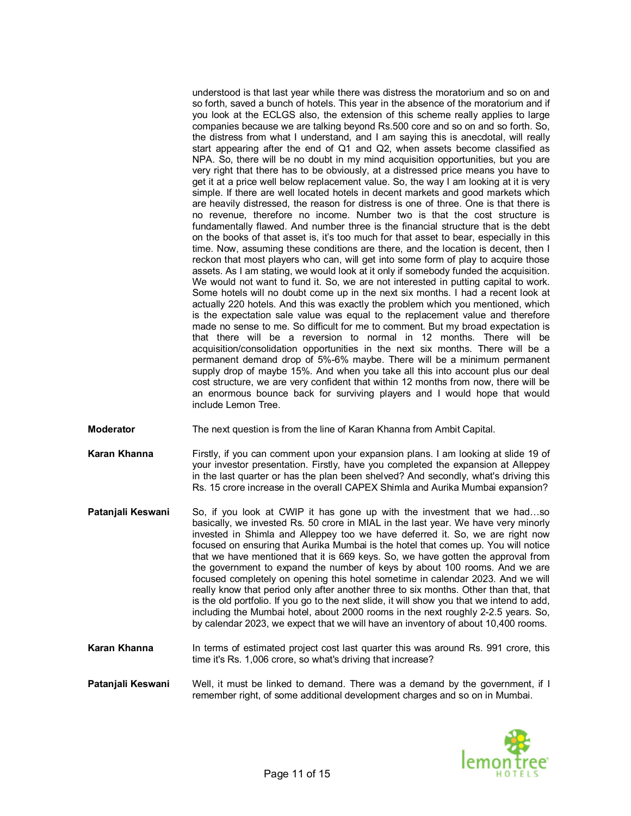understood is that last year while there was distress the moratorium and so on and so forth, saved a bunch of hotels. This year in the absence of the moratorium and if you look at the ECLGS also, the extension of this scheme really applies to large companies because we are talking beyond Rs.500 core and so on and so forth. So, the distress from what I understand, and I am saying this is anecdotal, will really start appearing after the end of Q1 and Q2, when assets become classified as NPA. So, there will be no doubt in my mind acquisition opportunities, but you are very right that there has to be obviously, at a distressed price means you have to get it at a price well below replacement value. So, the way I am looking at it is very simple. If there are well located hotels in decent markets and good markets which are heavily distressed, the reason for distress is one of three. One is that there is no revenue, therefore no income. Number two is that the cost structure is fundamentally flawed. And number three is the financial structure that is the debt on the books of that asset is, it's too much for that asset to bear, especially in this time. Now, assuming these conditions are there, and the location is decent, then I reckon that most players who can, will get into some form of play to acquire those assets. As I am stating, we would look at it only if somebody funded the acquisition. We would not want to fund it. So, we are not interested in putting capital to work. Some hotels will no doubt come up in the next six months. I had a recent look at actually 220 hotels. And this was exactly the problem which you mentioned, which is the expectation sale value was equal to the replacement value and therefore made no sense to me. So difficult for me to comment. But my broad expectation is that there will be a reversion to normal in 12 months. There will be acquisition/consolidation opportunities in the next six months. There will be a permanent demand drop of 5%-6% maybe. There will be a minimum permanent supply drop of maybe 15%. And when you take all this into account plus our deal cost structure, we are very confident that within 12 months from now, there will be an enormous bounce back for surviving players and I would hope that would include Lemon Tree.

- **Moderator** The next question is from the line of Karan Khanna from Ambit Capital.
- **Karan Khanna** Firstly, if you can comment upon your expansion plans. I am looking at slide 19 of your investor presentation. Firstly, have you completed the expansion at Alleppey in the last quarter or has the plan been shelved? And secondly, what's driving this Rs. 15 crore increase in the overall CAPEX Shimla and Aurika Mumbai expansion?
- **Patanjali Keswani** So, if you look at CWIP it has gone up with the investment that we had…so basically, we invested Rs. 50 crore in MIAL in the last year. We have very minorly invested in Shimla and Alleppey too we have deferred it. So, we are right now focused on ensuring that Aurika Mumbai is the hotel that comes up. You will notice that we have mentioned that it is 669 keys. So, we have gotten the approval from the government to expand the number of keys by about 100 rooms. And we are focused completely on opening this hotel sometime in calendar 2023. And we will really know that period only after another three to six months. Other than that, that is the old portfolio. If you go to the next slide, it will show you that we intend to add, including the Mumbai hotel, about 2000 rooms in the next roughly 2-2.5 years. So, by calendar 2023, we expect that we will have an inventory of about 10,400 rooms.
- **Karan Khanna** In terms of estimated project cost last quarter this was around Rs. 991 crore, this time it's Rs. 1,006 crore, so what's driving that increase?
- **Patanjali Keswani** Well, it must be linked to demand. There was a demand by the government, if I remember right, of some additional development charges and so on in Mumbai.

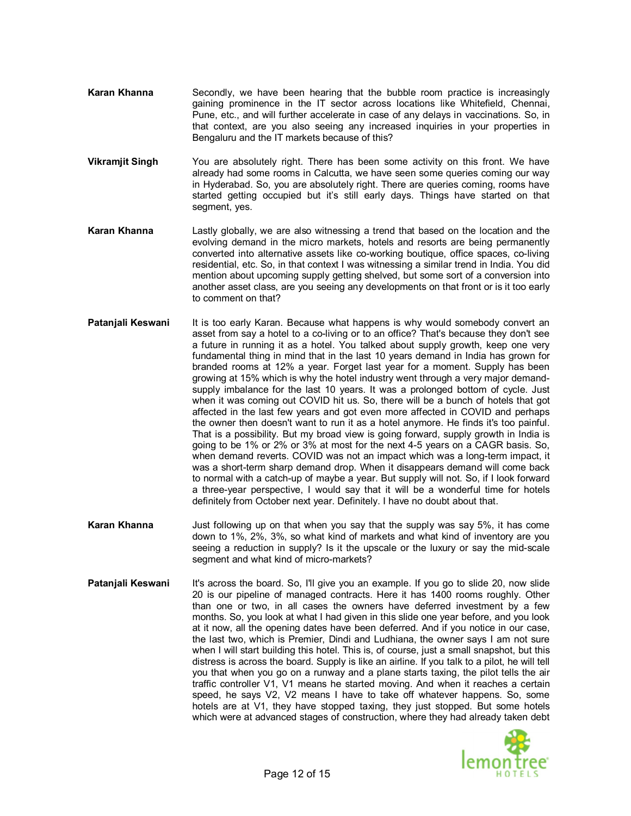- **Karan Khanna** Secondly, we have been hearing that the bubble room practice is increasingly gaining prominence in the IT sector across locations like Whitefield, Chennai, Pune, etc., and will further accelerate in case of any delays in vaccinations. So, in that context, are you also seeing any increased inquiries in your properties in Bengaluru and the IT markets because of this?
- **Vikramjit Singh** You are absolutely right. There has been some activity on this front. We have already had some rooms in Calcutta, we have seen some queries coming our way in Hyderabad. So, you are absolutely right. There are queries coming, rooms have started getting occupied but it's still early days. Things have started on that segment, yes.
- **Karan Khanna** Lastly globally, we are also witnessing a trend that based on the location and the evolving demand in the micro markets, hotels and resorts are being permanently converted into alternative assets like co-working boutique, office spaces, co-living residential, etc. So, in that context I was witnessing a similar trend in India. You did mention about upcoming supply getting shelved, but some sort of a conversion into another asset class, are you seeing any developments on that front or is it too early to comment on that?
- **Patanjali Keswani** It is too early Karan. Because what happens is why would somebody convert an asset from say a hotel to a co-living or to an office? That's because they don't see a future in running it as a hotel. You talked about supply growth, keep one very fundamental thing in mind that in the last 10 years demand in India has grown for branded rooms at 12% a year. Forget last year for a moment. Supply has been growing at 15% which is why the hotel industry went through a very major demandsupply imbalance for the last 10 years. It was a prolonged bottom of cycle. Just when it was coming out COVID hit us. So, there will be a bunch of hotels that got affected in the last few years and got even more affected in COVID and perhaps the owner then doesn't want to run it as a hotel anymore. He finds it's too painful. That is a possibility. But my broad view is going forward, supply growth in India is going to be 1% or 2% or 3% at most for the next 4-5 years on a CAGR basis. So, when demand reverts. COVID was not an impact which was a long-term impact, it was a short-term sharp demand drop. When it disappears demand will come back to normal with a catch-up of maybe a year. But supply will not. So, if I look forward a three-year perspective, I would say that it will be a wonderful time for hotels definitely from October next year. Definitely. I have no doubt about that.
- **Karan Khanna** Just following up on that when you say that the supply was say 5%, it has come down to 1%, 2%, 3%, so what kind of markets and what kind of inventory are you seeing a reduction in supply? Is it the upscale or the luxury or say the mid-scale segment and what kind of micro-markets?
- **Patanjali Keswani** It's across the board. So, I'll give you an example. If you go to slide 20, now slide 20 is our pipeline of managed contracts. Here it has 1400 rooms roughly. Other than one or two, in all cases the owners have deferred investment by a few months. So, you look at what I had given in this slide one year before, and you look at it now, all the opening dates have been deferred. And if you notice in our case, the last two, which is Premier, Dindi and Ludhiana, the owner says I am not sure when I will start building this hotel. This is, of course, just a small snapshot, but this distress is across the board. Supply is like an airline. If you talk to a pilot, he will tell you that when you go on a runway and a plane starts taxing, the pilot tells the air traffic controller V1, V1 means he started moving. And when it reaches a certain speed, he says V2, V2 means I have to take off whatever happens. So, some hotels are at V1, they have stopped taxing, they just stopped. But some hotels which were at advanced stages of construction, where they had already taken debt

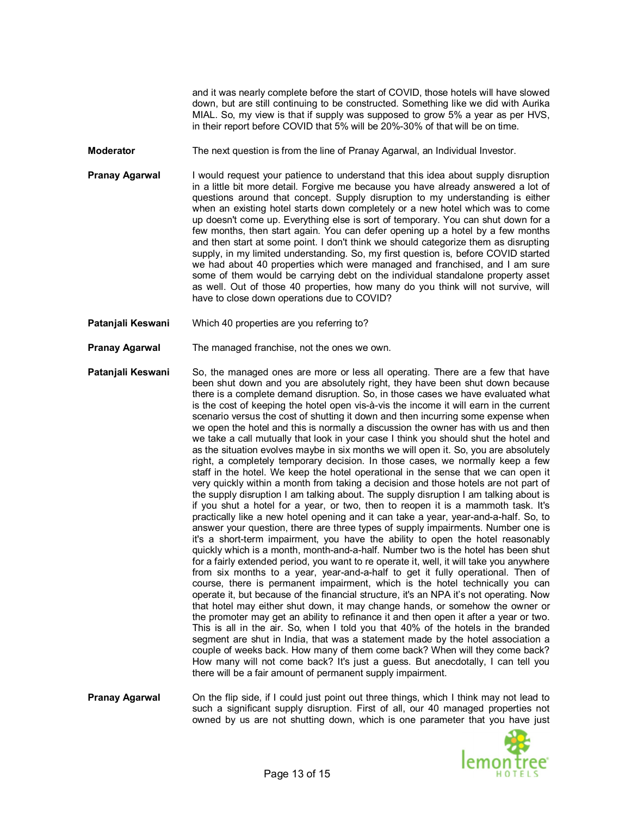and it was nearly complete before the start of COVID, those hotels will have slowed down, but are still continuing to be constructed. Something like we did with Aurika MIAL. So, my view is that if supply was supposed to grow 5% a year as per HVS, in their report before COVID that 5% will be 20%-30% of that will be on time.

- **Moderator** The next question is from the line of Pranay Agarwal, an Individual Investor.
- **Pranay Agarwal** I would request your patience to understand that this idea about supply disruption in a little bit more detail. Forgive me because you have already answered a lot of questions around that concept. Supply disruption to my understanding is either when an existing hotel starts down completely or a new hotel which was to come up doesn't come up. Everything else is sort of temporary. You can shut down for a few months, then start again. You can defer opening up a hotel by a few months and then start at some point. I don't think we should categorize them as disrupting supply, in my limited understanding. So, my first question is, before COVID started we had about 40 properties which were managed and franchised, and I am sure some of them would be carrying debt on the individual standalone property asset as well. Out of those 40 properties, how many do you think will not survive, will have to close down operations due to COVID?
- **Patanjali Keswani** Which 40 properties are you referring to?
- **Pranay Agarwal** The managed franchise, not the ones we own.
- **Patanjali Keswani** So, the managed ones are more or less all operating. There are a few that have been shut down and you are absolutely right, they have been shut down because there is a complete demand disruption. So, in those cases we have evaluated what is the cost of keeping the hotel open vis-à-vis the income it will earn in the current scenario versus the cost of shutting it down and then incurring some expense when we open the hotel and this is normally a discussion the owner has with us and then we take a call mutually that look in your case I think you should shut the hotel and as the situation evolves maybe in six months we will open it. So, you are absolutely right, a completely temporary decision. In those cases, we normally keep a few staff in the hotel. We keep the hotel operational in the sense that we can open it very quickly within a month from taking a decision and those hotels are not part of the supply disruption I am talking about. The supply disruption I am talking about is if you shut a hotel for a year, or two, then to reopen it is a mammoth task. It's practically like a new hotel opening and it can take a year, year-and-a-half. So, to answer your question, there are three types of supply impairments. Number one is it's a short-term impairment, you have the ability to open the hotel reasonably quickly which is a month, month-and-a-half. Number two is the hotel has been shut for a fairly extended period, you want to re operate it, well, it will take you anywhere from six months to a year, year-and-a-half to get it fully operational. Then of course, there is permanent impairment, which is the hotel technically you can operate it, but because of the financial structure, it's an NPA it's not operating. Now that hotel may either shut down, it may change hands, or somehow the owner or the promoter may get an ability to refinance it and then open it after a year or two. This is all in the air. So, when I told you that 40% of the hotels in the branded segment are shut in India, that was a statement made by the hotel association a couple of weeks back. How many of them come back? When will they come back? How many will not come back? It's just a guess. But anecdotally, I can tell you there will be a fair amount of permanent supply impairment.
- **Pranay Agarwal** On the flip side, if I could just point out three things, which I think may not lead to such a significant supply disruption. First of all, our 40 managed properties not owned by us are not shutting down, which is one parameter that you have just

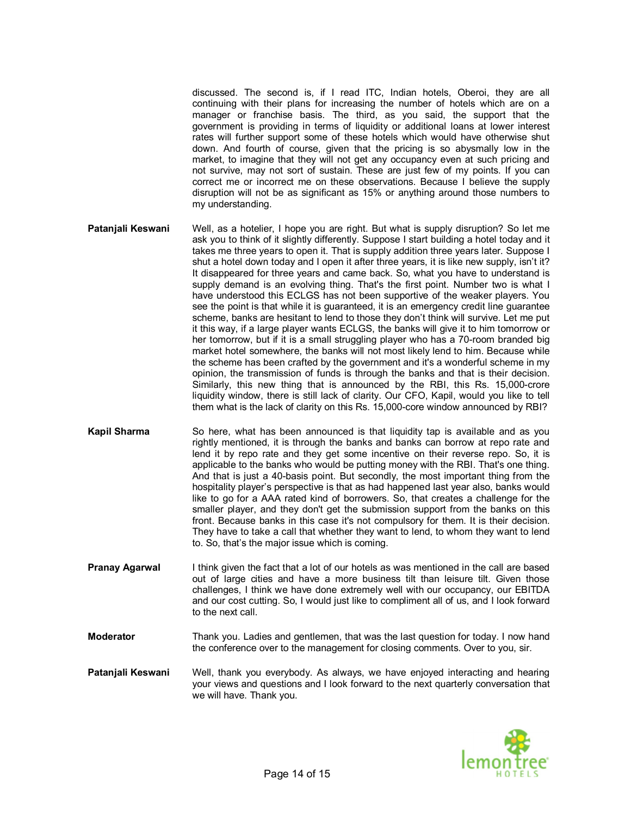discussed. The second is, if I read ITC, Indian hotels, Oberoi, they are all continuing with their plans for increasing the number of hotels which are on a manager or franchise basis. The third, as you said, the support that the government is providing in terms of liquidity or additional loans at lower interest rates will further support some of these hotels which would have otherwise shut down. And fourth of course, given that the pricing is so abysmally low in the market, to imagine that they will not get any occupancy even at such pricing and not survive, may not sort of sustain. These are just few of my points. If you can correct me or incorrect me on these observations. Because I believe the supply disruption will not be as significant as 15% or anything around those numbers to my understanding.

- **Patanjali Keswani** Well, as a hotelier, I hope you are right. But what is supply disruption? So let me ask you to think of it slightly differently. Suppose I start building a hotel today and it takes me three years to open it. That is supply addition three years later. Suppose I shut a hotel down today and I open it after three years, it is like new supply, isn't it? It disappeared for three years and came back. So, what you have to understand is supply demand is an evolving thing. That's the first point. Number two is what I have understood this ECLGS has not been supportive of the weaker players. You see the point is that while it is guaranteed, it is an emergency credit line guarantee scheme, banks are hesitant to lend to those they don't think will survive. Let me put it this way, if a large player wants ECLGS, the banks will give it to him tomorrow or her tomorrow, but if it is a small struggling player who has a 70-room branded big market hotel somewhere, the banks will not most likely lend to him. Because while the scheme has been crafted by the government and it's a wonderful scheme in my opinion, the transmission of funds is through the banks and that is their decision. Similarly, this new thing that is announced by the RBI, this Rs. 15,000-crore liquidity window, there is still lack of clarity. Our CFO, Kapil, would you like to tell them what is the lack of clarity on this Rs. 15,000-core window announced by RBI?
- **Kapil Sharma** So here, what has been announced is that liquidity tap is available and as you rightly mentioned, it is through the banks and banks can borrow at repo rate and lend it by repo rate and they get some incentive on their reverse repo. So, it is applicable to the banks who would be putting money with the RBI. That's one thing. And that is just a 40-basis point. But secondly, the most important thing from the hospitality player's perspective is that as had happened last year also, banks would like to go for a AAA rated kind of borrowers. So, that creates a challenge for the smaller player, and they don't get the submission support from the banks on this front. Because banks in this case it's not compulsory for them. It is their decision. They have to take a call that whether they want to lend, to whom they want to lend to. So, that's the major issue which is coming.
- **Pranay Agarwal** I think given the fact that a lot of our hotels as was mentioned in the call are based out of large cities and have a more business tilt than leisure tilt. Given those challenges, I think we have done extremely well with our occupancy, our EBITDA and our cost cutting. So, I would just like to compliment all of us, and I look forward to the next call.
- **Moderator** Thank you. Ladies and gentlemen, that was the last question for today. I now hand the conference over to the management for closing comments. Over to you, sir.
- **Patanjali Keswani** Well, thank you everybody. As always, we have enjoyed interacting and hearing your views and questions and I look forward to the next quarterly conversation that we will have. Thank you.